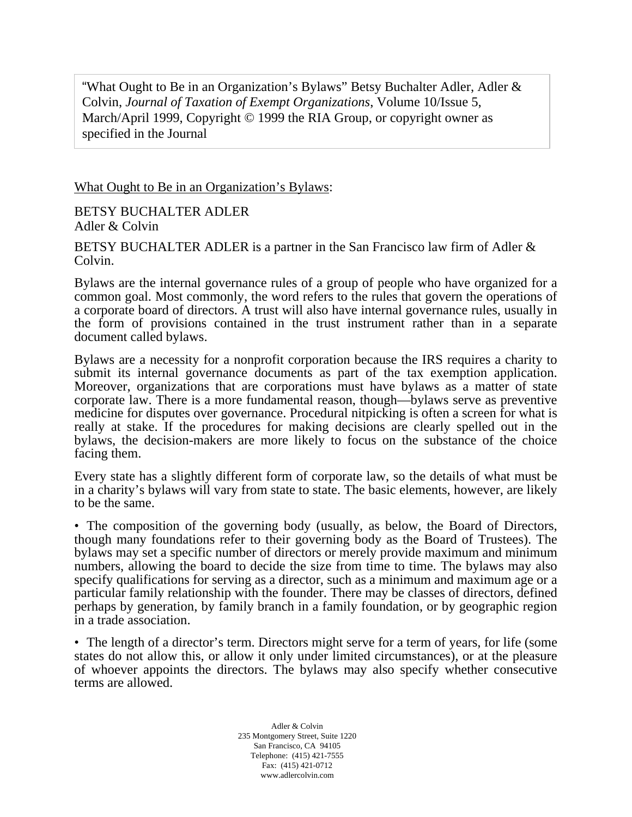"What Ought to Be in an Organization's Bylaws" Betsy Buchalter Adler, Adler & Colvin, *Journal of Taxation of Exempt Organizations*, Volume 10/Issue 5, March/April 1999, Copyright © 1999 the RIA Group, or copyright owner as specified in the Journal

What Ought to Be in an Organization's Bylaws:

BETSY BUCHALTER ADLER Adler & Colvin

BETSY BUCHALTER ADLER is a partner in the San Francisco law firm of Adler & Colvin.

Bylaws are the internal governance rules of a group of people who have organized for a common goal. Most commonly, the word refers to the rules that govern the operations of a corporate board of directors. A trust will also have internal governance rules, usually in the form of provisions contained in the trust instrument rather than in a separate document called bylaws.

Bylaws are a necessity for a nonprofit corporation because the IRS requires a charity to submit its internal governance documents as part of the tax exemption application. Moreover, organizations that are corporations must have bylaws as a matter of state corporate law. There is a more fundamental reason, though—bylaws serve as preventive medicine for disputes over governance. Procedural nitpicking is often a screen for what is really at stake. If the procedures for making decisions are clearly spelled out in the bylaws, the decision-makers are more likely to focus on the substance of the choice facing them.

Every state has a slightly different form of corporate law, so the details of what must be in a charity's bylaws will vary from state to state. The basic elements, however, are likely to be the same.

• The composition of the governing body (usually, as below, the Board of Directors, though many foundations refer to their governing body as the Board of Trustees). The bylaws may set a specific number of directors or merely provide maximum and minimum numbers, allowing the board to decide the size from time to time. The bylaws may also specify qualifications for serving as a director, such as a minimum and maximum age or a particular family relationship with the founder. There may be classes of directors, defined perhaps by generation, by family branch in a family foundation, or by geographic region in a trade association.

• The length of a director's term. Directors might serve for a term of years, for life (some states do not allow this, or allow it only under limited circumstances), or at the pleasure of whoever appoints the directors. The bylaws may also specify whether consecutive terms are allowed.

> Adler & Colvin 235 Montgomery Street, Suite 1220 San Francisco, CA 94105 Telephone: (415) 421-7555 Fax: (415) 421-0712 www.adlercolvin.com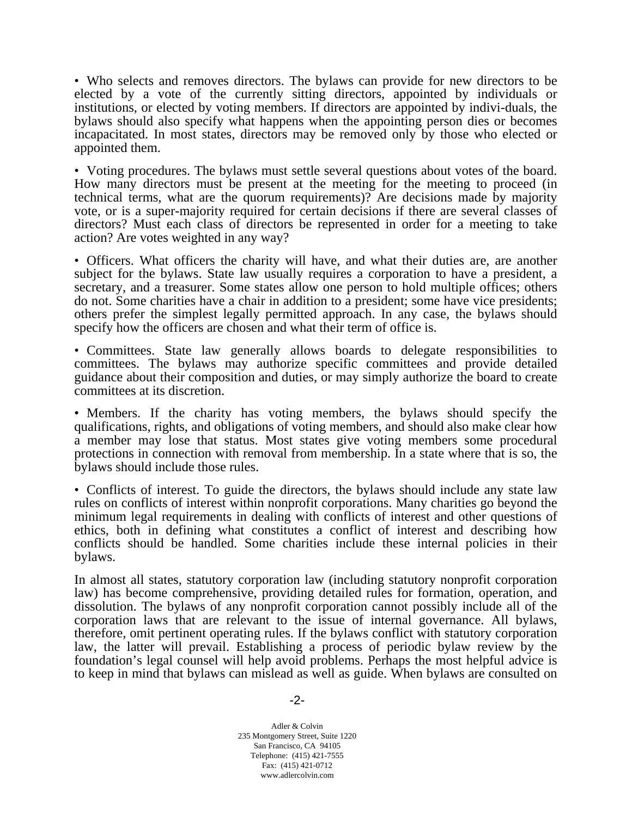• Who selects and removes directors. The bylaws can provide for new directors to be elected by a vote of the currently sitting directors, appointed by individuals or institutions, or elected by voting members. If directors are appointed by indivi-duals, the bylaws should also specify what happens when the appointing person dies or becomes incapacitated. In most states, directors may be removed only by those who elected or appointed them.

• Voting procedures. The bylaws must settle several questions about votes of the board. How many directors must be present at the meeting for the meeting to proceed (in technical terms, what are the quorum requirements)? Are decisions made by majority vote, or is a super-majority required for certain decisions if there are several classes of directors? Must each class of directors be represented in order for a meeting to take action? Are votes weighted in any way?

• Officers. What officers the charity will have, and what their duties are, are another subject for the bylaws. State law usually requires a corporation to have a president, a secretary, and a treasurer. Some states allow one person to hold multiple offices; others do not. Some charities have a chair in addition to a president; some have vice presidents; others prefer the simplest legally permitted approach. In any case, the bylaws should specify how the officers are chosen and what their term of office is.

• Committees. State law generally allows boards to delegate responsibilities to committees. The bylaws may authorize specific committees and provide detailed guidance about their composition and duties, or may simply authorize the board to create committees at its discretion.

• Members. If the charity has voting members, the bylaws should specify the qualifications, rights, and obligations of voting members, and should also make clear how a member may lose that status. Most states give voting members some procedural protections in connection with removal from membership. In a state where that is so, the bylaws should include those rules.

• Conflicts of interest. To guide the directors, the bylaws should include any state law rules on conflicts of interest within nonprofit corporations. Many charities go beyond the minimum legal requirements in dealing with conflicts of interest and other questions of ethics, both in defining what constitutes a conflict of interest and describing how conflicts should be handled. Some charities include these internal policies in their bylaws.

In almost all states, statutory corporation law (including statutory nonprofit corporation law) has become comprehensive, providing detailed rules for formation, operation, and dissolution. The bylaws of any nonprofit corporation cannot possibly include all of the corporation laws that are relevant to the issue of internal governance. All bylaws, therefore, omit pertinent operating rules. If the bylaws conflict with statutory corporation law, the latter will prevail. Establishing a process of periodic bylaw review by the foundation's legal counsel will help avoid problems. Perhaps the most helpful advice is to keep in mind that bylaws can mislead as well as guide. When bylaws are consulted on

Adler & Colvin 235 Montgomery Street, Suite 1220 San Francisco, CA 94105 Telephone: (415) 421-7555 Fax: (415) 421-0712 www.adlercolvin.com